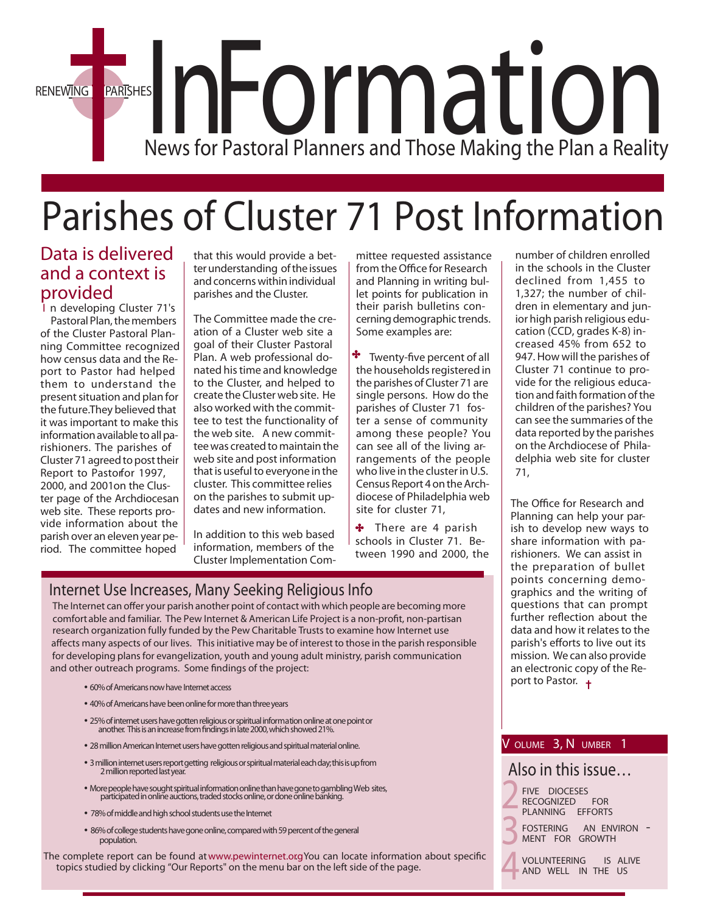

# Parishes of Cluster 71 Post Information

### *Data is delivered and a context is provided*

I n developing Cluster 71's Pastoral Plan, the members of the Cluster Pastoral Planning Committee recognized how census data and the Report to Pastor had helped them to understand the present situation and plan for the future.They believed that it was important to make this information available to all parishioners. The parishes of Cluster 71 agreed to post their Report to Pastorfor 1997, 2000, and 2001 on the Cluster page of the Archdiocesan web site. These reports provide information about the parish over an eleven year period. The committee hoped

that this would provide a betterunderstanding ofthe issues and concerns within individual parishes and the Cluster.

The Committee made the creation of a Cluster web site a goal of their Cluster Pastoral Plan. A web professional donated histime and knowledge to the Cluster, and helped to create the Clusterweb site. He also worked with the committee to test the functionality of the web site. A new committee was created to maintain the web site and post information that is useful to everyone in the cluster. This committee relies on the parishes to submit updates and new information.

In addition to this web based information, members of the Cluster Implementation Committee requested assistance from the Office for Research and Planning in writing bullet points for publication in their parish bulletins concerningdemographic trends. Some examples are:

 $\cdot$  Twenty-five percent of all the households registered in the parishes of Cluster 71 are single persons. How do the parishes of Cluster 71 foster a sense of community among these people? You can see all of the living arrangements of the people who live in the cluster in U.S. Census Report 4ontheArchdiocese of Philadelphia web site for cluster 71,

There are 4 parish schools in Cluster 71. Between 1990 and 2000, the

### **Internet Use Increases, Many Seeking Religious Info**

The Internet can offer your parish another point of contact with which people are becoming more comfort able and familiar. The Pew Internet & American Life Project is a non-profit, non-partisan research organization fully funded by the Pew Charitable Trusts to examine how Internet use affects many aspects of our lives. This initiative may be of interest to those in the parish responsible for developing plans for evangelization, youth and young adult ministry, parish communication and other outreach programs. Some findings of the project:

- **60% of Americans now have Internet access**
- **40% of Americans have been online for more than three years**
- **25% of internet users have gotten religious or spiritual information online at one point or another. Thisisanincreasefromndingsinlate2000,whichshowed21%.**
- **28 million American Internet users have gotten religious and spiritual material online.**
- **3millioninternetusersreportgetting religiousorspiritualmaterialeachday;thisisupfrom 2 million reported last year.**
- **MorepeoplehavesoughtspiritualinformationonlinethanhavegonetogamblingWeb sites, participatedinonlineauctions,tradedstocksonline,ordoneonlinebanking.**
- 78% of middle and high school students use the Internet
- **86% of college students have gone online, compared with 59 percent of the general population.**

The complete report can be found at www.pewinternet.org You can locate information about specific topics studied by clicking "Our Reports" on the menu bar on the left side of the page.

number of children enrolled in the schools in the Cluster declined from 1,455 to 1,327; the number of children in elementary and junior high parish religious education (CCD, grades K-8) increased 45% from 652 to 947. How will the parishes of Cluster 71 continue to provide for the religious education and faith formation of the children of the parishes? You can see the summaries of the data reported by the parishes on the Archdiocese of Philadelphia web site for cluster 71,

The Office for Research and Planning can help your parish to develop new ways to share information with parishioners. We can assist in the preparation of bullet points concerning demographics and the writing of questions that can prompt further reflection about the data and how it relates to the parish's efforts to live out its mission. We can also provide an electronic copy of the Report to Pastor. +

#### **V OLUME 3, N UMBER 1**

#### *Also in this issue…*

*2 3* **FIVE DIOCESES RECOGNIZED PLANNING EFFORTS FOSTERING AN ENVIRON - MENT FOR GROWTH**

*4* **VOLUNTEERING IS ALIVE AND WELL IN THE US**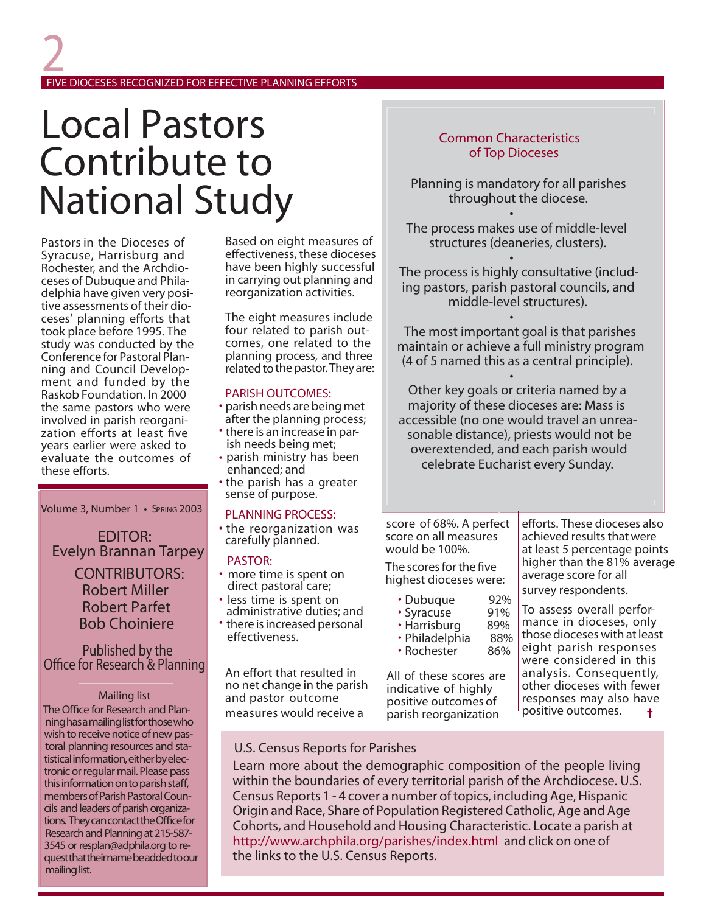### *2* **FIVE DIOCESES RECOGNIZED FOR EFFECTIVE PLANNING EFFORTS**

# Local Pastors Contribute to National Study

Pastors in the Dioceses of Syracuse, Harrisburg and Rochester, and the Archdioceses of Dubuque and Philadelphia have given very positive assessments of their dioceses' planning efforts that took place before 1995. The study was conducted by the<br>Conference for Pastoral Planning and Council Development and funded by the Raskob Foundation. In 2000 the same pastors who were involved in parish reorganization efforts at least five years earlier were asked to evaluate the outcomes of these efforts.

Volume 3, Number 1 • SPRING 2003

EDITOR: Evelyn Brannan Tarpey

> Robert Parfet Bob Choiniere CONTRIBUTORS: Robert Miller

#### Published by the Office for Research & Planning

#### *Mailing list*

**The Office for Research and Plan***ninghasamailinglistforthosewho* wish to receive notice of new pas*toral planning resources and statisticalinformation,eitherbyelectronicorregularmail.Pleasepass thisinformationontoparishsta, membersofParishPastoralCoun*cils and leaders of parish organiza*tions. TheycancontacttheOcefor ResearchandPlanningat215-587- 3545 orresplan@adphila.org to requestthattheirnamebeaddedtoour* mailing list.

Based on eight measures of effectiveness, these dioceses have been highly successful in carrying out planning and reorganization activities.

The eight measures include four related to parish outcomes, one related to the planning process, and three related to the pastor. They are:

- **PARISH OUTCOMES:** parish needs are being met after the planning process;
- 
- there is an increase in par- ish needs being met;
- parish ministry has been • the parish has a greater
- sense of purpose.

#### **PLANNING PROCESS:**

• the reorganization was carefully planned.

- **PASTOR:** more time is spent on direct pastoral care;
- less time is spent on
- administrative duties; and
- there is increased personal effectiveness.

An effort that resulted in no net change in the parish and pastor outcome measures would receive a

#### U.S. Census Reports for Parishes

Learn more about the demographic composition of the people living within the boundaries of every territorial parish of the Archdiocese. U.S. Census Reports 1 - 4 cover a number oftopics, including Age,Hispanic Origin and Race, Share of Population Registered Catholic, Age and Age Cohorts, and Household and Housing Characteristic. Locate a parish at [http://www.archphila.org/parishes/index.html](http://www.archphila.org/parishes/index.htm) and click on one of the links to the U.S. Census Reports.

#### Common Characteristics of Top Dioceses

Planning is mandatory for all parishes throughout the diocese.

• The process makes use of middle-level structures (deaneries, clusters).

• The process is highly consultative (including pastors, parish pastoral councils, and middle-level structures).

• The most important goal is that parishes maintain or achieve a full ministry program (4 of 5 named this as a central principle).

•

Other key goals or criteria named by a majority of these dioceses are: Mass is accessible (no one would travel an unreasonable distance), priests would not be overextended, and each parish would celebrate Eucharist every Sunday.

score of 68%. A perfect score on all measures would be 100%.

The scores for the five highest dioceses were:

- 
- 
- Dubuque 92%<br>• Syracuse 91%<br>• Harrisburg 89%<br>• Philadelphia 88%<br>• Rochester 86%
- 

All of these scores are indicative of highly positive outcomes of parish reorganization

efforts. These dioceses also achieved results thatwere at least 5 percentage points higher than the 81% average average score for all survey respondents.

To assess overall performance in dioceses, only those dioceses with at least eight parish responses were considered in this<br>analysis. Consequently, other dioceses with fewer responses may also have positive outcomes.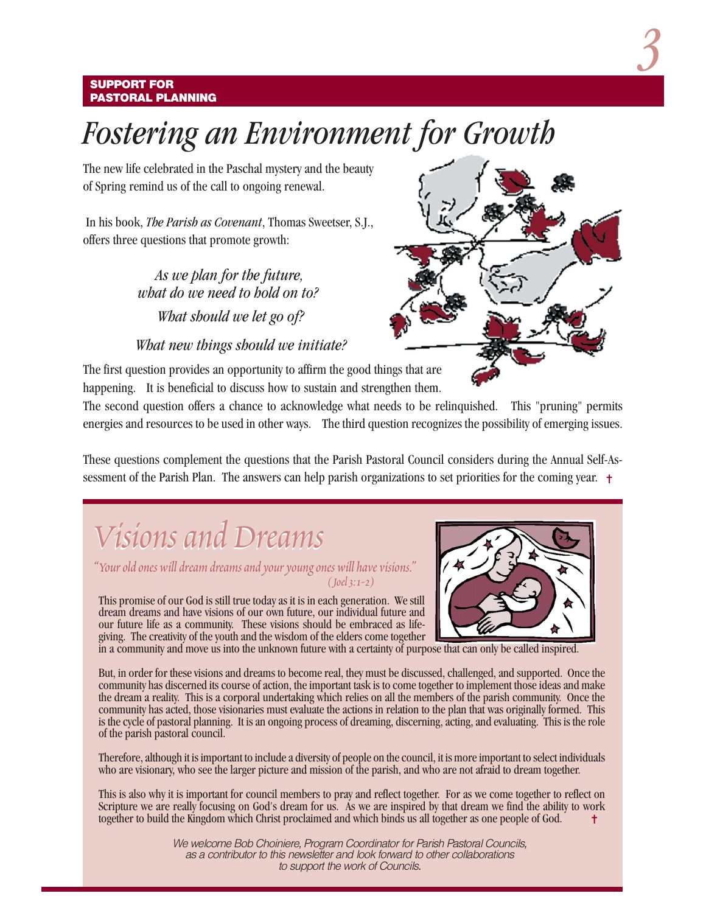#### **SUPPORT FOR PASTORAL PLANNING**

## *Fostering an Environment for Growth*

The new life celebrated in the Paschal mystery and the beauty of Spring remind us of the call to ongoing renewal.

 In his book, *The Parish as Covenant*, Thomas Sweetser, S.J., offers three questions that promote growth:

> *As we plan for the future, what do we need to hold on to? What should we let go of?*

#### *What new things should we initiate?*

The first question provides an opportunity to affirm the good things that are happening. It is beneficial to discuss how to sustain and strengthen them.

The second question offers a chance to acknowledge what needs to be relinquished. This "pruning" permits energies and resources to be used in other ways. The third question recognizes the possibility of emerging issues.

sessment of the Parish Plan. The answers can help parish organizations to set priorities for the coming year.  $\dagger$ These questions complement the questions that the Parish Pastoral Council considers during the Annual Self-As-

# *Visions and Dreams Visions and Dreams*

*"Your old ones will dream dreams and your young ones will have visions." ( Joel 3: 1-2)*

This promise of our God is still true today as it is in each generation. We still dream dreams and have visions of our own future, our individual future and our future life as a community. These visions should be embraced as lifegiving. The creativity of the youth and the wisdom of the elders come together

in a community and move us into the unknown future with a certainty of purpose that can only be called inspired.

But, in order for these visions and dreams to become real, they must be discussed, challenged, and supported. Once the community has discerned its course of action, the important task is to come together to implement those ideas and make the dream a reality. This is a corporal undertaking which relies on all the members of the parish community. Once the community has acted, those visionaries must evaluate the actions in relation to the plan that was originally formed. This is the cycle of pastoral planning. It is an ongoing process of dreaming, discerning, acting, and evaluating. This is the role of the parish pastoral council.

Therefore, although it is important to include a diversity of people on the council, it is more important to select individuals who are visionary, who see the larger picture and mission of the parish, and who are not afraid to dream together.

This is also why it is important for council members to pray and reflect together. For as we come together to reflect on Scripture we are really focusing on God's dream for us. As we are inspired by that dream we find the ability to work together to build the Kingdom which Christ proclaimed and which binds us all together as one people of God. ✝

> We welcome Bob Choiniere, Program Coordinator for Parish Pastoral Councils, as a contributor to this newsletter and look forward to other collaborations to support the work of Councils.